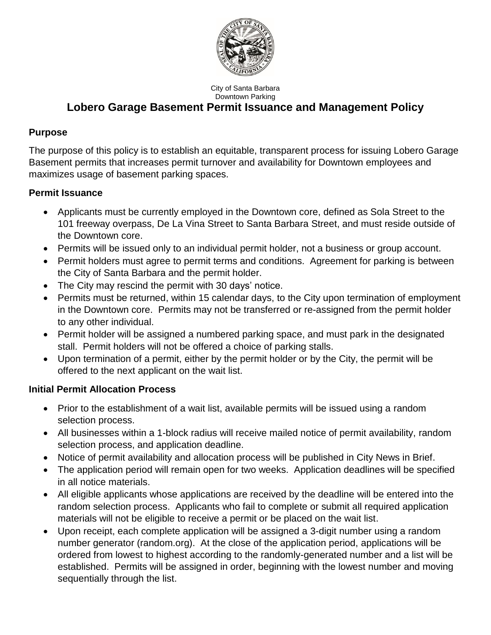

City of Santa Barbara Downtown Parking

# **Lobero Garage Basement Permit Issuance and Management Policy**

## **Purpose**

The purpose of this policy is to establish an equitable, transparent process for issuing Lobero Garage Basement permits that increases permit turnover and availability for Downtown employees and maximizes usage of basement parking spaces.

## **Permit Issuance**

- Applicants must be currently employed in the Downtown core, defined as Sola Street to the 101 freeway overpass, De La Vina Street to Santa Barbara Street, and must reside outside of the Downtown core.
- Permits will be issued only to an individual permit holder, not a business or group account.
- Permit holders must agree to permit terms and conditions. Agreement for parking is between the City of Santa Barbara and the permit holder.
- The City may rescind the permit with 30 days' notice.
- Permits must be returned, within 15 calendar days, to the City upon termination of employment in the Downtown core. Permits may not be transferred or re-assigned from the permit holder to any other individual.
- Permit holder will be assigned a numbered parking space, and must park in the designated stall. Permit holders will not be offered a choice of parking stalls.
- Upon termination of a permit, either by the permit holder or by the City, the permit will be offered to the next applicant on the wait list.

### **Initial Permit Allocation Process**

- Prior to the establishment of a wait list, available permits will be issued using a random selection process.
- All businesses within a 1-block radius will receive mailed notice of permit availability, random selection process, and application deadline.
- Notice of permit availability and allocation process will be published in City News in Brief.
- The application period will remain open for two weeks. Application deadlines will be specified in all notice materials.
- All eligible applicants whose applications are received by the deadline will be entered into the random selection process. Applicants who fail to complete or submit all required application materials will not be eligible to receive a permit or be placed on the wait list.
- Upon receipt, each complete application will be assigned a 3-digit number using a random number generator (random.org). At the close of the application period, applications will be ordered from lowest to highest according to the randomly-generated number and a list will be established. Permits will be assigned in order, beginning with the lowest number and moving sequentially through the list.